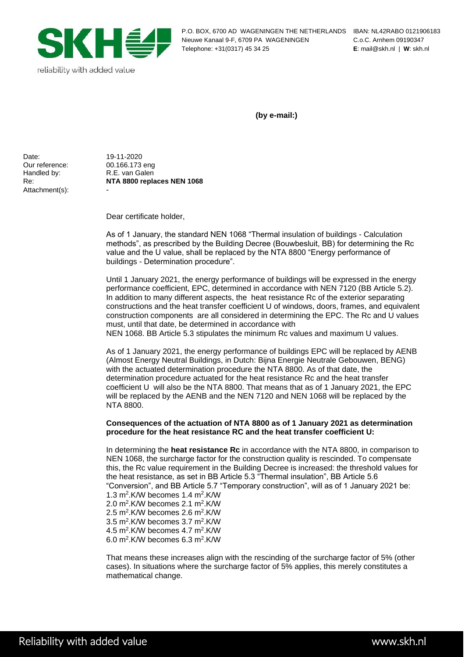

P.O. BOX, 6700 AD WAGENINGEN THE NETHERLANDS IBAN: NL42RABO 0121906183 Nieuwe Kanaal 9-F, 6709 PA WAGENINGEN C.o.C. Arnhem 09190347 Telephone: +31(0317) 45 34 25 **E**: mail@skh.nl | **W**: skh.nl

**(by e-mail:)**

Date: 19-11-2020 Our reference: 00.166.173 eng Handled by: R.E. van Galen Attachment(s):

Re: **NTA 8800 replaces NEN 1068** 

Dear certificate holder,

As of 1 January, the standard NEN 1068 "Thermal insulation of buildings - Calculation methods", as prescribed by the Building Decree (Bouwbesluit, BB) for determining the Rc value and the U value, shall be replaced by the NTA 8800 "Energy performance of buildings - Determination procedure".

Until 1 January 2021, the energy performance of buildings will be expressed in the energy performance coefficient, EPC, determined in accordance with NEN 7120 (BB Article 5.2). In addition to many different aspects, the heat resistance Rc of the exterior separating constructions and the heat transfer coefficient U of windows, doors, frames, and equivalent construction components are all considered in determining the EPC. The Rc and U values must, until that date, be determined in accordance with NEN 1068. BB Article 5.3 stipulates the minimum Rc values and maximum U values.

As of 1 January 2021, the energy performance of buildings EPC will be replaced by AENB (Almost Energy Neutral Buildings, in Dutch: Bijna Energie Neutrale Gebouwen, BENG) with the actuated determination procedure the NTA 8800. As of that date, the determination procedure actuated for the heat resistance Rc and the heat transfer coefficient U will also be the NTA 8800. That means that as of 1 January 2021, the EPC will be replaced by the AENB and the NEN 7120 and NEN 1068 will be replaced by the NTA 8800.

## **Consequences of the actuation of NTA 8800 as of 1 January 2021 as determination procedure for the heat resistance RC and the heat transfer coefficient U:**

In determining the **heat resistance Rc** in accordance with the NTA 8800, in comparison to NEN 1068, the surcharge factor for the construction quality is rescinded. To compensate this, the Rc value requirement in the Building Decree is increased: the threshold values for the heat resistance, as set in BB Article 5.3 "Thermal insulation", BB Article 5.6 "Conversion", and BB Article 5.7 "Temporary construction", will as of 1 January 2021 be: 1.3 m<sup>2</sup>.K/W becomes 1.4 m<sup>2</sup>.K/W 2.0 m<sup>2</sup>.K/W becomes 2.1 m<sup>2</sup>.K/W 2.5 m<sup>2</sup>.K/W becomes 2.6 m<sup>2</sup>.K/W

3.5 m<sup>2</sup>.K/W becomes 3.7 m<sup>2</sup>.K/W

 $4.5$  m<sup>2</sup>.K/W becomes  $4.7$  m<sup>2</sup>.K/W 6.0 m<sup>2</sup>.K/W becomes 6.3 m<sup>2</sup>.K/W

That means these increases align with the rescinding of the surcharge factor of 5% (other cases). In situations where the surcharge factor of 5% applies, this merely constitutes a mathematical change.